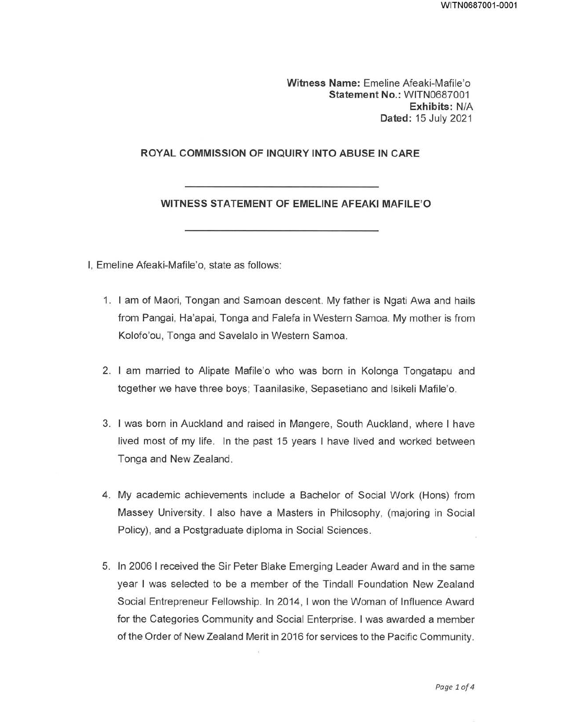Witness Name: Emeline Afeaki-Mafile'o Statement No.: WITN0687001 Exhibits: N/A Dated: 15 July 2021

### ROYAL COMMISSION OF INQUIRY INTO ABUSE IN CARE

### WITNESS STATEMENT OF EMELINE AFEAKI MAFILE'O

I, Emeline Afeaki-Mafile'o, state as follows:

- 1. I am of Maori, Tongan and Samoan descent. My father is Ngati Awa and hails from Pangai, Ha'apai, Tonga and Falefa in Western Samoa. My mother is from Kolofo'ou, Tonga and Savelalo in Western Samoa.
- 2. I am married to Alipate Mafile'o who was born in Kolonga Tongatapu and together we have three boys; Taanilasike, Sepasetiano and Isikeli Mafile'o.
- 3. I was born in Auckland and raised in Mangere, South Auckland, where I have lived most of my life. In the past 15 years I have lived and worked between Tonga and New Zealand.
- 4. My academic achievements include a Bachelor of Social Work (Hons) from Massey University. I also have a Masters in Philosophy, (majoring in Social Policy), and a Postgraduate diploma in Social Sciences.
- 5. In 2006 I received the Sir Peter Blake Emerging Leader Award and in the same year I was selected to be a member of the Tindall Foundation New Zealand Social Entrepreneur Fellowship. In 2014, I won the Woman of Influence Award for the Categories Community and Social Enterprise. I was awarded a member of the Order of New Zealand Merit in 2016 for services to the Pacific Community.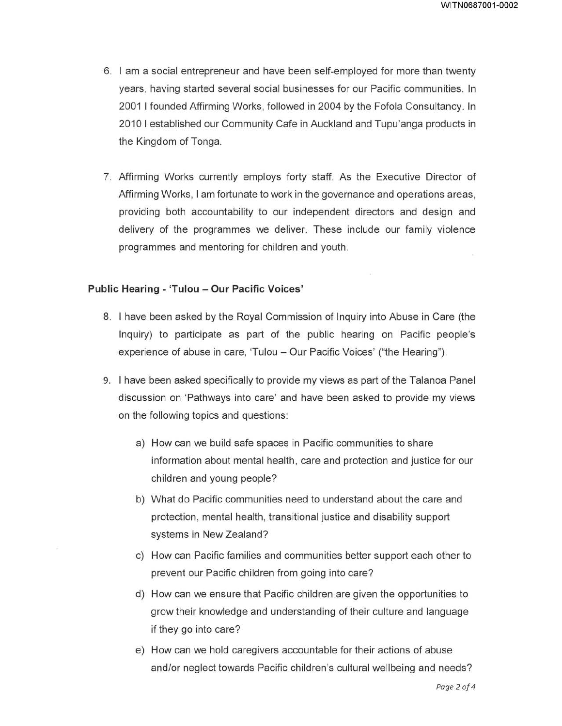- 6. I am a social entrepreneur and have been self-employed for more than twenty years, having started several social businesses for our Pacific communities. In 2001 I founded Affirming Works, followed in 2004 by the Fofola Consultancy. In 2010 I established our Community Cafe in Auckland and Tupu'anga products in the Kingdom of Tonga.
- 7. Affirming Works currently employs forty staff. As the Executive Director of Affirming Works, I am fortunate to work in the governance and operations areas, providing both accountability to our independent directors and design and delivery of the programmes we deliver. These include our family violence programmes and mentoring for children and youth.

#### Public Hearing - 'Tulou - Our Pacific Voices'

- 8. I have been asked by the Royal Commission of Inquiry into Abuse in Care (the Inquiry) to participate as part of the public hearing on Pacific people's experience of abuse in care, 'Tulou — Our Pacific Voices' ("the Hearing").
- 9. I have been asked specifically to provide my views as part of the Talanoa Panel discussion on 'Pathways into care' and have been asked to provide my views on the following topics and questions:
	- a) How can we build safe spaces in Pacific communities to share information about mental health, care and protection and justice for our children and young people?
	- b) What do Pacific communities need to understand about the care and protection, mental health, transitional justice and disability support systems in New Zealand?
	- c) How can Pacific families and communities better support each other to prevent our Pacific children from going into care?
	- d) How can we ensure that Pacific children are given the opportunities to grow their knowledge and understanding of their culture and language if they go into care?
	- e) How can we hold caregivers accountable for their actions of abuse and/or neglect towards Pacific children's cultural wellbeing and needs?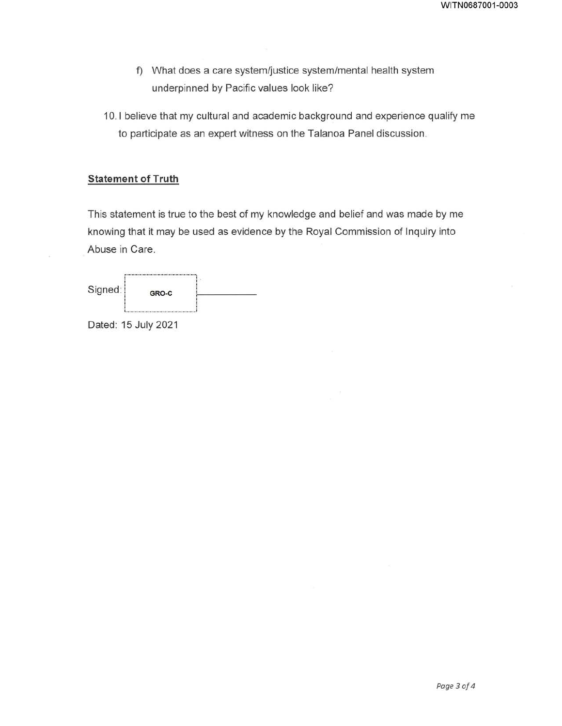- f) What does a care system/justice system/mental health system underpinned by Pacific values look like?
- 10. 1 believe that my cultural and academic background and experience qualify me to participate as an expert witness on the Talanoa Panel discussion.

## **Statement of Truth**

This statement is true to the best of my knowledge and belief and was made by me knowing that it may be used as evidence by the Royal Commission of Inquiry into Abuse in Care.

| Signed: | GRO-C |  |
|---------|-------|--|
|         |       |  |

Dated: 15 July 2021